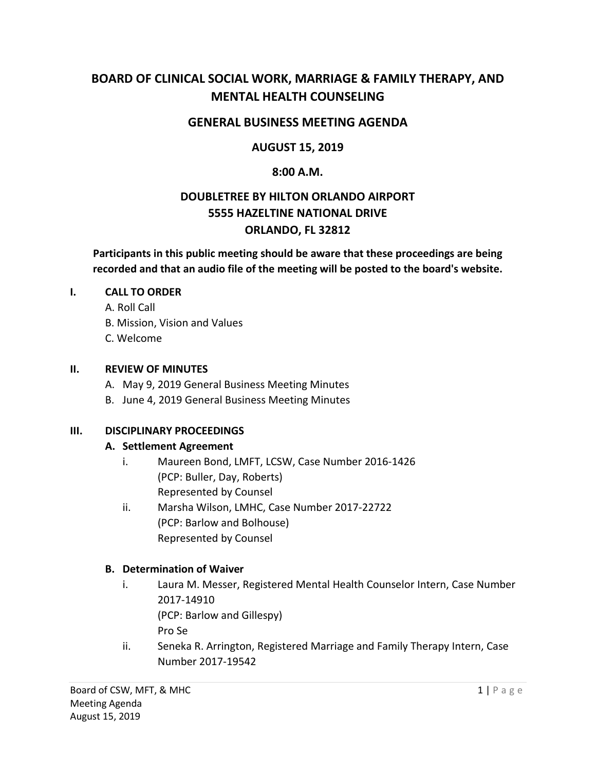# **BOARD OF CLINICAL SOCIAL WORK, MARRIAGE & FAMILY THERAPY, AND MENTAL HEALTH COUNSELING**

## **GENERAL BUSINESS MEETING AGENDA**

## **AUGUST 15, 2019**

#### **8:00 A.M.**

# **DOUBLETREE BY HILTON ORLANDO AIRPORT 5555 HAZELTINE NATIONAL DRIVE ORLANDO, FL 32812**

**Participants in this public meeting should be aware that these proceedings are being recorded and that an audio file of the meeting will be posted to the board's website.** 

#### **I. CALL TO ORDER**

A. Roll Call

- B. Mission, Vision and Values
- C. Welcome

#### **II. REVIEW OF MINUTES**

- A. May 9, 2019 General Business Meeting Minutes
- B. June 4, 2019 General Business Meeting Minutes

## **III. DISCIPLINARY PROCEEDINGS**

#### **A. Settlement Agreement**

- i. Maureen Bond, LMFT, LCSW, Case Number 2016-1426 (PCP: Buller, Day, Roberts) Represented by Counsel
- ii. Marsha Wilson, LMHC, Case Number 2017-22722 (PCP: Barlow and Bolhouse) Represented by Counsel

## **B. Determination of Waiver**

- i. Laura M. Messer, Registered Mental Health Counselor Intern, Case Number 2017-14910 (PCP: Barlow and Gillespy) Pro Se
- ii. Seneka R. Arrington, Registered Marriage and Family Therapy Intern, Case Number 2017-19542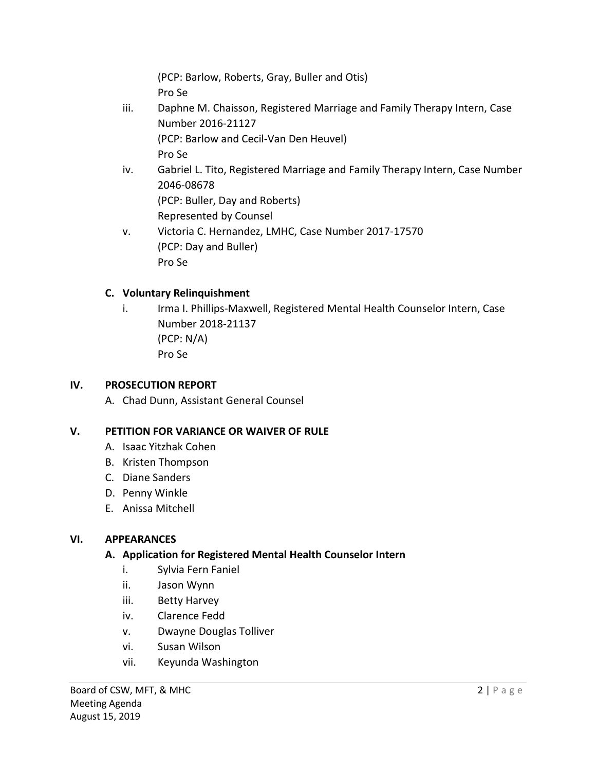(PCP: Barlow, Roberts, Gray, Buller and Otis) Pro Se

- iii. Daphne M. Chaisson, Registered Marriage and Family Therapy Intern, Case Number 2016-21127 (PCP: Barlow and Cecil-Van Den Heuvel) Pro Se
- iv. Gabriel L. Tito, Registered Marriage and Family Therapy Intern, Case Number 2046-08678 (PCP: Buller, Day and Roberts) Represented by Counsel
- v. Victoria C. Hernandez, LMHC, Case Number 2017-17570 (PCP: Day and Buller) Pro Se

# **C. Voluntary Relinquishment**

i. Irma I. Phillips-Maxwell, Registered Mental Health Counselor Intern, Case Number 2018-21137 (PCP: N/A) Pro Se

# **IV. PROSECUTION REPORT**

A. Chad Dunn, Assistant General Counsel

# **V. PETITION FOR VARIANCE OR WAIVER OF RULE**

- A. Isaac Yitzhak Cohen
- B. Kristen Thompson
- C. Diane Sanders
- D. Penny Winkle
- E. Anissa Mitchell

# **VI. APPEARANCES**

# **A. Application for Registered Mental Health Counselor Intern**

- i. Sylvia Fern Faniel
- ii. Jason Wynn
- iii. Betty Harvey
- iv. Clarence Fedd
- v. Dwayne Douglas Tolliver
- vi. Susan Wilson
- vii. Keyunda Washington